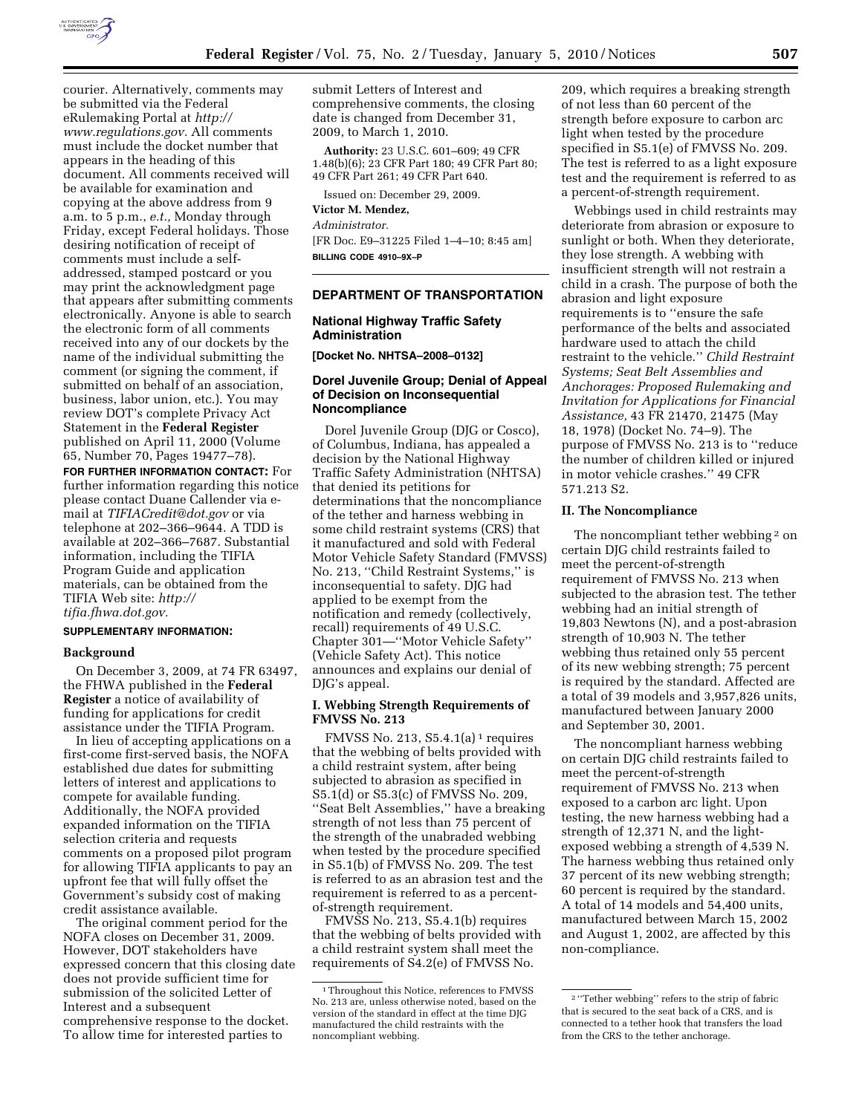

courier. Alternatively, comments may be submitted via the Federal eRulemaking Portal at *http:// www.regulations.gov.* All comments must include the docket number that appears in the heading of this document. All comments received will be available for examination and copying at the above address from 9 a.m. to 5 p.m., *e.t.,* Monday through Friday, except Federal holidays. Those desiring notification of receipt of comments must include a selfaddressed, stamped postcard or you may print the acknowledgment page that appears after submitting comments electronically. Anyone is able to search the electronic form of all comments received into any of our dockets by the name of the individual submitting the comment (or signing the comment, if submitted on behalf of an association, business, labor union, etc.). You may review DOT's complete Privacy Act Statement in the **Federal Register**  published on April 11, 2000 (Volume 65, Number 70, Pages 19477–78).

**FOR FURTHER INFORMATION CONTACT:** For further information regarding this notice please contact Duane Callender via email at *TIFIACredit@dot.gov* or via telephone at 202–366–9644. A TDD is available at 202–366–7687. Substantial information, including the TIFIA Program Guide and application materials, can be obtained from the TIFIA Web site: *http:// tifia.fhwa.dot.gov.* 

# **SUPPLEMENTARY INFORMATION:**

#### **Background**

On December 3, 2009, at 74 FR 63497, the FHWA published in the **Federal Register** a notice of availability of funding for applications for credit assistance under the TIFIA Program.

In lieu of accepting applications on a first-come first-served basis, the NOFA established due dates for submitting letters of interest and applications to compete for available funding. Additionally, the NOFA provided expanded information on the TIFIA selection criteria and requests comments on a proposed pilot program for allowing TIFIA applicants to pay an upfront fee that will fully offset the Government's subsidy cost of making credit assistance available.

The original comment period for the NOFA closes on December 31, 2009. However, DOT stakeholders have expressed concern that this closing date does not provide sufficient time for submission of the solicited Letter of Interest and a subsequent comprehensive response to the docket. To allow time for interested parties to

submit Letters of Interest and comprehensive comments, the closing date is changed from December 31, 2009, to March 1, 2010.

**Authority:** 23 U.S.C. 601–609; 49 CFR 1.48(b)(6); 23 CFR Part 180; 49 CFR Part 80; 49 CFR Part 261; 49 CFR Part 640.

Issued on: December 29, 2009.

#### **Victor M. Mendez,**

#### *Administrator.*

[FR Doc. E9–31225 Filed 1–4–10; 8:45 am] **BILLING CODE 4910–9X–P** 

# **DEPARTMENT OF TRANSPORTATION**

# **National Highway Traffic Safety Administration**

**[Docket No. NHTSA–2008–0132]** 

# **Dorel Juvenile Group; Denial of Appeal of Decision on Inconsequential Noncompliance**

Dorel Juvenile Group (DJG or Cosco), of Columbus, Indiana, has appealed a decision by the National Highway Traffic Safety Administration (NHTSA) that denied its petitions for determinations that the noncompliance of the tether and harness webbing in some child restraint systems (CRS) that it manufactured and sold with Federal Motor Vehicle Safety Standard (FMVSS) No. 213, ''Child Restraint Systems,'' is inconsequential to safety. DJG had applied to be exempt from the notification and remedy (collectively, recall) requirements of 49 U.S.C. Chapter 301—''Motor Vehicle Safety'' (Vehicle Safety Act). This notice announces and explains our denial of DJG's appeal.

## **I. Webbing Strength Requirements of FMVSS No. 213**

FMVSS No. 213,  $S5.4.1(a)$ <sup>1</sup> requires that the webbing of belts provided with a child restraint system, after being subjected to abrasion as specified in S5.1(d) or S5.3(c) of FMVSS No. 209, ''Seat Belt Assemblies,'' have a breaking strength of not less than 75 percent of the strength of the unabraded webbing when tested by the procedure specified in S5.1(b) of FMVSS No. 209. The test is referred to as an abrasion test and the requirement is referred to as a percentof-strength requirement.

FMVSS No. 213, S5.4.1(b) requires that the webbing of belts provided with a child restraint system shall meet the requirements of S4.2(e) of FMVSS No.

209, which requires a breaking strength of not less than 60 percent of the strength before exposure to carbon arc light when tested by the procedure specified in S5.1(e) of FMVSS No. 209. The test is referred to as a light exposure test and the requirement is referred to as a percent-of-strength requirement.

Webbings used in child restraints may deteriorate from abrasion or exposure to sunlight or both. When they deteriorate, they lose strength. A webbing with insufficient strength will not restrain a child in a crash. The purpose of both the abrasion and light exposure requirements is to ''ensure the safe performance of the belts and associated hardware used to attach the child restraint to the vehicle.'' *Child Restraint Systems; Seat Belt Assemblies and Anchorages: Proposed Rulemaking and Invitation for Applications for Financial Assistance,* 43 FR 21470, 21475 (May 18, 1978) (Docket No. 74–9). The purpose of FMVSS No. 213 is to ''reduce the number of children killed or injured in motor vehicle crashes.'' 49 CFR 571.213 S2.

### **II. The Noncompliance**

The noncompliant tether webbing<sup>2</sup> on certain DJG child restraints failed to meet the percent-of-strength requirement of FMVSS No. 213 when subjected to the abrasion test. The tether webbing had an initial strength of 19,803 Newtons (N), and a post-abrasion strength of 10,903 N. The tether webbing thus retained only 55 percent of its new webbing strength; 75 percent is required by the standard. Affected are a total of 39 models and 3,957,826 units, manufactured between January 2000 and September 30, 2001.

The noncompliant harness webbing on certain DJG child restraints failed to meet the percent-of-strength requirement of FMVSS No. 213 when exposed to a carbon arc light. Upon testing, the new harness webbing had a strength of 12,371 N, and the lightexposed webbing a strength of 4,539 N. The harness webbing thus retained only 37 percent of its new webbing strength; 60 percent is required by the standard. A total of 14 models and 54,400 units, manufactured between March 15, 2002 and August 1, 2002, are affected by this non-compliance.

<sup>1</sup>Throughout this Notice, references to FMVSS No. 213 are, unless otherwise noted, based on the version of the standard in effect at the time DJG manufactured the child restraints with the noncompliant webbing.

<sup>2</sup> ''Tether webbing'' refers to the strip of fabric that is secured to the seat back of a CRS, and is connected to a tether hook that transfers the load from the CRS to the tether anchorage.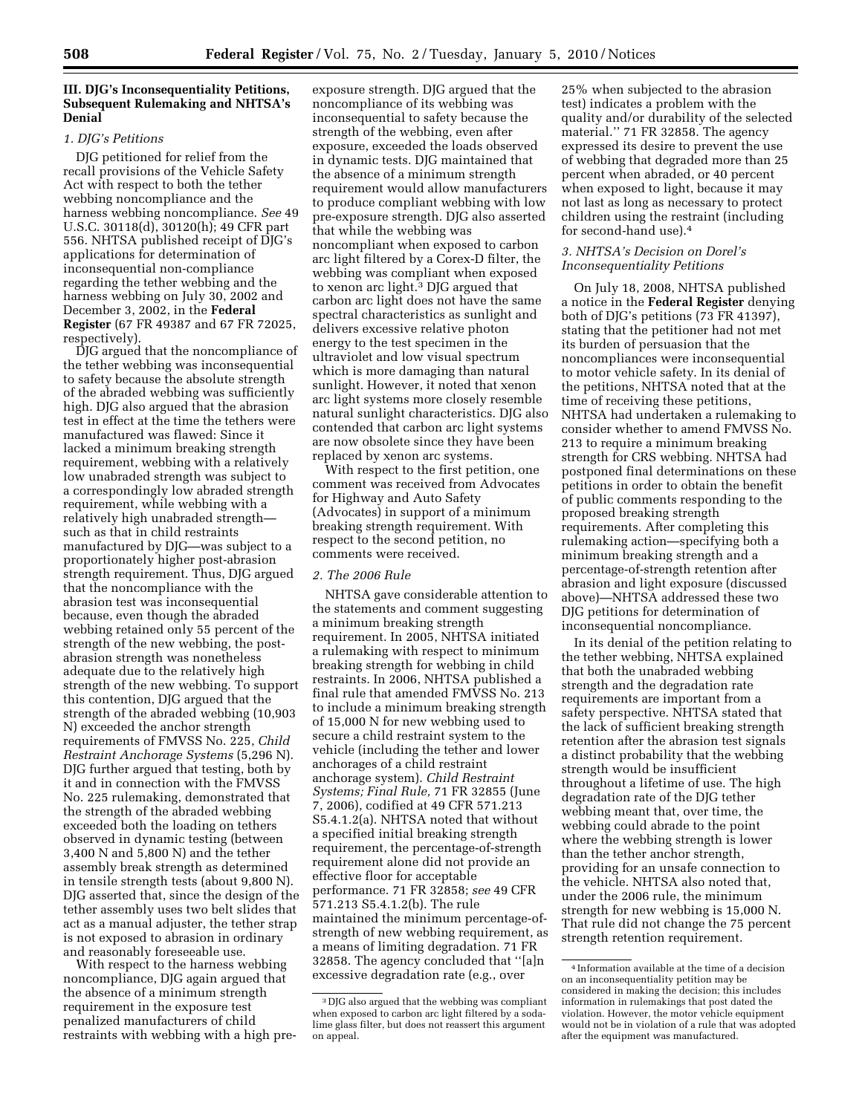# **III. DJG's Inconsequentiality Petitions, Subsequent Rulemaking and NHTSA's Denial**

# *1. DJG's Petitions*

DJG petitioned for relief from the recall provisions of the Vehicle Safety Act with respect to both the tether webbing noncompliance and the harness webbing noncompliance. *See* 49 U.S.C. 30118(d), 30120(h); 49 CFR part 556. NHTSA published receipt of DJG's applications for determination of inconsequential non-compliance regarding the tether webbing and the harness webbing on July 30, 2002 and December 3, 2002, in the **Federal Register** (67 FR 49387 and 67 FR 72025, respectively).

DJG argued that the noncompliance of the tether webbing was inconsequential to safety because the absolute strength of the abraded webbing was sufficiently high. DJG also argued that the abrasion test in effect at the time the tethers were manufactured was flawed: Since it lacked a minimum breaking strength requirement, webbing with a relatively low unabraded strength was subject to a correspondingly low abraded strength requirement, while webbing with a relatively high unabraded strength such as that in child restraints manufactured by DJG—was subject to a proportionately higher post-abrasion strength requirement. Thus, DJG argued that the noncompliance with the abrasion test was inconsequential because, even though the abraded webbing retained only 55 percent of the strength of the new webbing, the postabrasion strength was nonetheless adequate due to the relatively high strength of the new webbing. To support this contention, DJG argued that the strength of the abraded webbing (10,903 N) exceeded the anchor strength requirements of FMVSS No. 225, *Child Restraint Anchorage Systems* (5,296 N). DJG further argued that testing, both by it and in connection with the FMVSS No. 225 rulemaking, demonstrated that the strength of the abraded webbing exceeded both the loading on tethers observed in dynamic testing (between 3,400 N and 5,800 N) and the tether assembly break strength as determined in tensile strength tests (about 9,800 N). DJG asserted that, since the design of the tether assembly uses two belt slides that act as a manual adjuster, the tether strap is not exposed to abrasion in ordinary and reasonably foreseeable use.

With respect to the harness webbing noncompliance, DJG again argued that the absence of a minimum strength requirement in the exposure test penalized manufacturers of child restraints with webbing with a high pre-

exposure strength. DJG argued that the noncompliance of its webbing was inconsequential to safety because the strength of the webbing, even after exposure, exceeded the loads observed in dynamic tests. DJG maintained that the absence of a minimum strength requirement would allow manufacturers to produce compliant webbing with low pre-exposure strength. DJG also asserted that while the webbing was noncompliant when exposed to carbon arc light filtered by a Corex-D filter, the webbing was compliant when exposed to xenon arc light.3 DJG argued that carbon arc light does not have the same spectral characteristics as sunlight and delivers excessive relative photon energy to the test specimen in the ultraviolet and low visual spectrum which is more damaging than natural sunlight. However, it noted that xenon arc light systems more closely resemble natural sunlight characteristics. DJG also contended that carbon arc light systems are now obsolete since they have been replaced by xenon arc systems.

With respect to the first petition, one comment was received from Advocates for Highway and Auto Safety (Advocates) in support of a minimum breaking strength requirement. With respect to the second petition, no comments were received.

#### *2. The 2006 Rule*

NHTSA gave considerable attention to the statements and comment suggesting a minimum breaking strength requirement. In 2005, NHTSA initiated a rulemaking with respect to minimum breaking strength for webbing in child restraints. In 2006, NHTSA published a final rule that amended FMVSS No. 213 to include a minimum breaking strength of 15,000 N for new webbing used to secure a child restraint system to the vehicle (including the tether and lower anchorages of a child restraint anchorage system). *Child Restraint Systems; Final Rule,* 71 FR 32855 (June 7, 2006), codified at 49 CFR 571.213 S5.4.1.2(a). NHTSA noted that without a specified initial breaking strength requirement, the percentage-of-strength requirement alone did not provide an effective floor for acceptable performance. 71 FR 32858; *see* 49 CFR 571.213 S5.4.1.2(b). The rule maintained the minimum percentage-ofstrength of new webbing requirement, as a means of limiting degradation. 71 FR 32858. The agency concluded that ''[a]n excessive degradation rate (e.g., over

25% when subjected to the abrasion test) indicates a problem with the quality and/or durability of the selected material.'' 71 FR 32858. The agency expressed its desire to prevent the use of webbing that degraded more than 25 percent when abraded, or 40 percent when exposed to light, because it may not last as long as necessary to protect children using the restraint (including for second-hand use).4

### *3. NHTSA's Decision on Dorel's Inconsequentiality Petitions*

On July 18, 2008, NHTSA published a notice in the **Federal Register** denying both of DJG's petitions (73 FR 41397), stating that the petitioner had not met its burden of persuasion that the noncompliances were inconsequential to motor vehicle safety. In its denial of the petitions, NHTSA noted that at the time of receiving these petitions, NHTSA had undertaken a rulemaking to consider whether to amend FMVSS No. 213 to require a minimum breaking strength for CRS webbing. NHTSA had postponed final determinations on these petitions in order to obtain the benefit of public comments responding to the proposed breaking strength requirements. After completing this rulemaking action—specifying both a minimum breaking strength and a percentage-of-strength retention after abrasion and light exposure (discussed above)—NHTSA addressed these two DJG petitions for determination of inconsequential noncompliance.

In its denial of the petition relating to the tether webbing, NHTSA explained that both the unabraded webbing strength and the degradation rate requirements are important from a safety perspective. NHTSA stated that the lack of sufficient breaking strength retention after the abrasion test signals a distinct probability that the webbing strength would be insufficient throughout a lifetime of use. The high degradation rate of the DJG tether webbing meant that, over time, the webbing could abrade to the point where the webbing strength is lower than the tether anchor strength, providing for an unsafe connection to the vehicle. NHTSA also noted that, under the 2006 rule, the minimum strength for new webbing is 15,000 N. That rule did not change the 75 percent strength retention requirement.

<sup>3</sup> DJG also argued that the webbing was compliant when exposed to carbon arc light filtered by a sodalime glass filter, but does not reassert this argument on appeal.

<sup>4</sup> Information available at the time of a decision on an inconsequentiality petition may be considered in making the decision; this includes information in rulemakings that post dated the violation. However, the motor vehicle equipment would not be in violation of a rule that was adopted after the equipment was manufactured.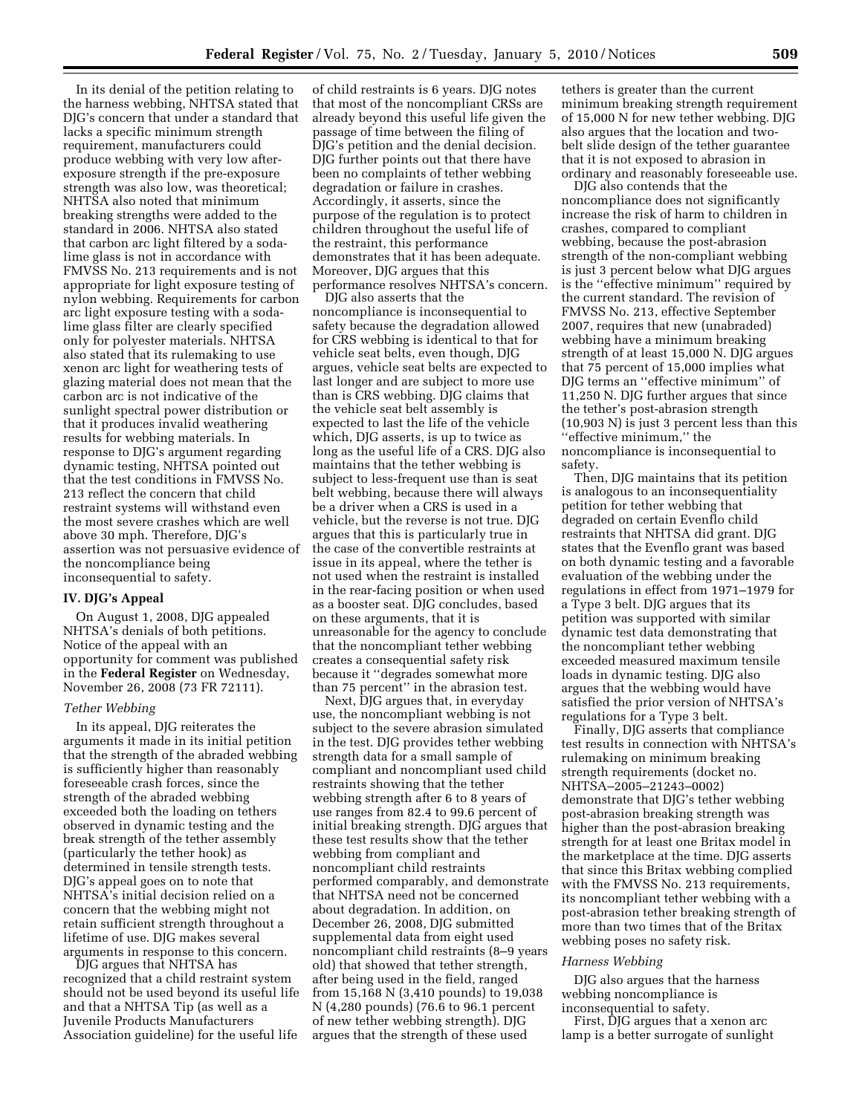In its denial of the petition relating to the harness webbing, NHTSA stated that DJG's concern that under a standard that lacks a specific minimum strength requirement, manufacturers could produce webbing with very low afterexposure strength if the pre-exposure strength was also low, was theoretical; NHTSA also noted that minimum breaking strengths were added to the standard in 2006. NHTSA also stated that carbon arc light filtered by a sodalime glass is not in accordance with FMVSS No. 213 requirements and is not appropriate for light exposure testing of nylon webbing. Requirements for carbon arc light exposure testing with a sodalime glass filter are clearly specified only for polyester materials. NHTSA also stated that its rulemaking to use xenon arc light for weathering tests of glazing material does not mean that the carbon arc is not indicative of the sunlight spectral power distribution or that it produces invalid weathering results for webbing materials. In response to DJG's argument regarding dynamic testing, NHTSA pointed out that the test conditions in FMVSS No. 213 reflect the concern that child restraint systems will withstand even the most severe crashes which are well above 30 mph. Therefore, DJG's assertion was not persuasive evidence of the noncompliance being inconsequential to safety.

## **IV. DJG's Appeal**

On August 1, 2008, DJG appealed NHTSA's denials of both petitions. Notice of the appeal with an opportunity for comment was published in the **Federal Register** on Wednesday, November 26, 2008 (73 FR 72111).

#### *Tether Webbing*

In its appeal, DJG reiterates the arguments it made in its initial petition that the strength of the abraded webbing is sufficiently higher than reasonably foreseeable crash forces, since the strength of the abraded webbing exceeded both the loading on tethers observed in dynamic testing and the break strength of the tether assembly (particularly the tether hook) as determined in tensile strength tests. DJG's appeal goes on to note that NHTSA's initial decision relied on a concern that the webbing might not retain sufficient strength throughout a lifetime of use. DJG makes several arguments in response to this concern.

DJG argues that NHTSA has recognized that a child restraint system should not be used beyond its useful life and that a NHTSA Tip (as well as a Juvenile Products Manufacturers Association guideline) for the useful life

of child restraints is 6 years. DJG notes that most of the noncompliant CRSs are already beyond this useful life given the passage of time between the filing of DJG's petition and the denial decision. DJG further points out that there have been no complaints of tether webbing degradation or failure in crashes. Accordingly, it asserts, since the purpose of the regulation is to protect children throughout the useful life of the restraint, this performance demonstrates that it has been adequate. Moreover, DJG argues that this performance resolves NHTSA's concern.

DJG also asserts that the noncompliance is inconsequential to safety because the degradation allowed for CRS webbing is identical to that for vehicle seat belts, even though, DJG argues, vehicle seat belts are expected to last longer and are subject to more use than is CRS webbing. DJG claims that the vehicle seat belt assembly is expected to last the life of the vehicle which, DJG asserts, is up to twice as long as the useful life of a CRS. DJG also maintains that the tether webbing is subject to less-frequent use than is seat belt webbing, because there will always be a driver when a CRS is used in a vehicle, but the reverse is not true. DJG argues that this is particularly true in the case of the convertible restraints at issue in its appeal, where the tether is not used when the restraint is installed in the rear-facing position or when used as a booster seat. DJG concludes, based on these arguments, that it is unreasonable for the agency to conclude that the noncompliant tether webbing creates a consequential safety risk because it ''degrades somewhat more than 75 percent'' in the abrasion test.

Next, DJG argues that, in everyday use, the noncompliant webbing is not subject to the severe abrasion simulated in the test. DJG provides tether webbing strength data for a small sample of compliant and noncompliant used child restraints showing that the tether webbing strength after 6 to 8 years of use ranges from 82.4 to 99.6 percent of initial breaking strength. DJG argues that these test results show that the tether webbing from compliant and noncompliant child restraints performed comparably, and demonstrate that NHTSA need not be concerned about degradation. In addition, on December 26, 2008, DJG submitted supplemental data from eight used noncompliant child restraints (8–9 years old) that showed that tether strength, after being used in the field, ranged from 15,168 N (3,410 pounds) to 19,038 N (4,280 pounds) (76.6 to 96.1 percent of new tether webbing strength). DJG argues that the strength of these used

tethers is greater than the current minimum breaking strength requirement of 15,000 N for new tether webbing. DJG also argues that the location and twobelt slide design of the tether guarantee that it is not exposed to abrasion in ordinary and reasonably foreseeable use.

DJG also contends that the noncompliance does not significantly increase the risk of harm to children in crashes, compared to compliant webbing, because the post-abrasion strength of the non-compliant webbing is just 3 percent below what DJG argues is the ''effective minimum'' required by the current standard. The revision of FMVSS No. 213, effective September 2007, requires that new (unabraded) webbing have a minimum breaking strength of at least 15,000 N. DJG argues that 75 percent of 15,000 implies what DJG terms an ''effective minimum'' of 11,250 N. DJG further argues that since the tether's post-abrasion strength (10,903 N) is just 3 percent less than this ''effective minimum,'' the noncompliance is inconsequential to safety.

Then, DJG maintains that its petition is analogous to an inconsequentiality petition for tether webbing that degraded on certain Evenflo child restraints that NHTSA did grant. DJG states that the Evenflo grant was based on both dynamic testing and a favorable evaluation of the webbing under the regulations in effect from 1971–1979 for a Type 3 belt. DJG argues that its petition was supported with similar dynamic test data demonstrating that the noncompliant tether webbing exceeded measured maximum tensile loads in dynamic testing. DJG also argues that the webbing would have satisfied the prior version of NHTSA's regulations for a Type 3 belt.

Finally, DJG asserts that compliance test results in connection with NHTSA's rulemaking on minimum breaking strength requirements (docket no. NHTSA–2005–21243–0002) demonstrate that DJG's tether webbing post-abrasion breaking strength was higher than the post-abrasion breaking strength for at least one Britax model in the marketplace at the time. DJG asserts that since this Britax webbing complied with the FMVSS No. 213 requirements, its noncompliant tether webbing with a post-abrasion tether breaking strength of more than two times that of the Britax webbing poses no safety risk.

### *Harness Webbing*

DJG also argues that the harness webbing noncompliance is inconsequential to safety.

First, DJG argues that a xenon arc lamp is a better surrogate of sunlight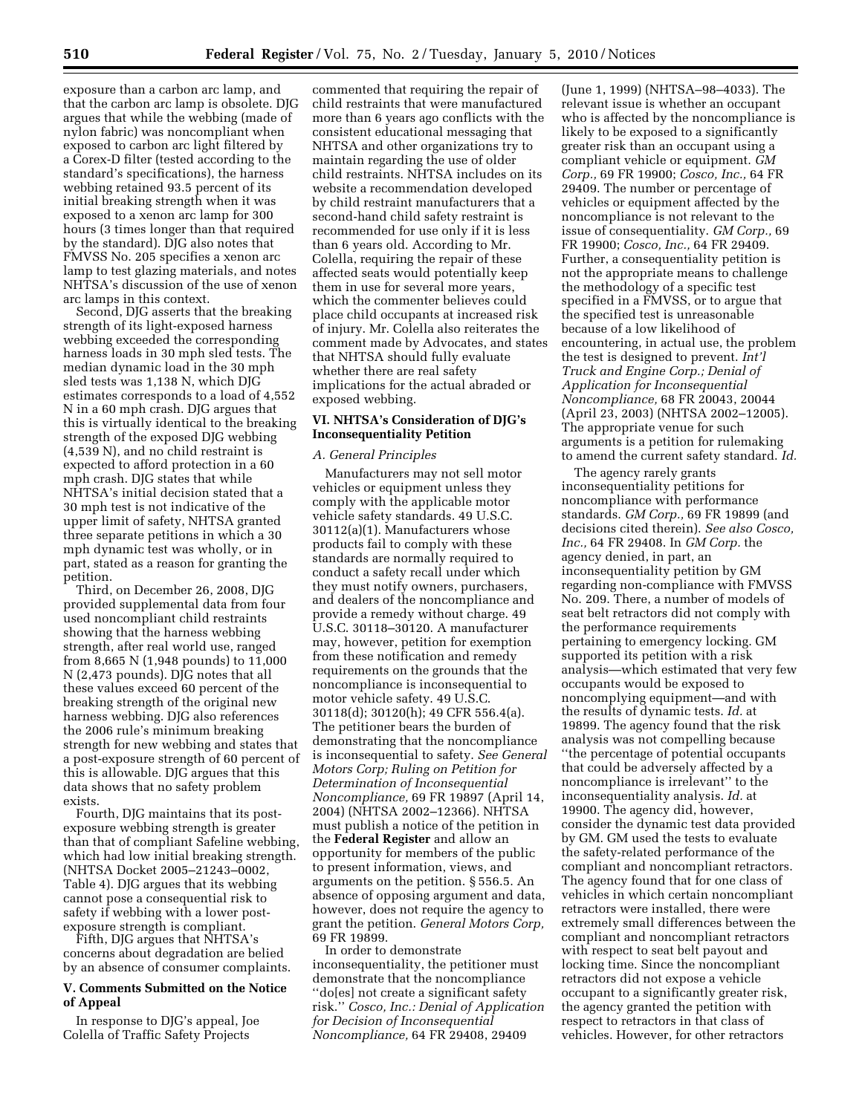exposure than a carbon arc lamp, and that the carbon arc lamp is obsolete. DJG argues that while the webbing (made of nylon fabric) was noncompliant when exposed to carbon arc light filtered by a Corex-D filter (tested according to the standard's specifications), the harness webbing retained 93.5 percent of its initial breaking strength when it was exposed to a xenon arc lamp for 300 hours (3 times longer than that required by the standard). DJG also notes that FMVSS No. 205 specifies a xenon arc lamp to test glazing materials, and notes NHTSA's discussion of the use of xenon arc lamps in this context.

Second, DJG asserts that the breaking strength of its light-exposed harness webbing exceeded the corresponding harness loads in 30 mph sled tests. The median dynamic load in the 30 mph sled tests was 1,138 N, which DJG estimates corresponds to a load of 4,552 N in a 60 mph crash. DJG argues that this is virtually identical to the breaking strength of the exposed DJG webbing (4,539 N), and no child restraint is expected to afford protection in a 60 mph crash. DJG states that while NHTSA's initial decision stated that a 30 mph test is not indicative of the upper limit of safety, NHTSA granted three separate petitions in which a 30 mph dynamic test was wholly, or in part, stated as a reason for granting the petition.

Third, on December 26, 2008, DJG provided supplemental data from four used noncompliant child restraints showing that the harness webbing strength, after real world use, ranged from 8,665 N (1,948 pounds) to 11,000 N (2,473 pounds). DJG notes that all these values exceed 60 percent of the breaking strength of the original new harness webbing. DJG also references the 2006 rule's minimum breaking strength for new webbing and states that a post-exposure strength of 60 percent of this is allowable. DJG argues that this data shows that no safety problem exists.

Fourth, DJG maintains that its postexposure webbing strength is greater than that of compliant Safeline webbing, which had low initial breaking strength. (NHTSA Docket 2005–21243–0002, Table 4). DJG argues that its webbing cannot pose a consequential risk to safety if webbing with a lower postexposure strength is compliant.

Fifth, DJG argues that NHTSA's concerns about degradation are belied by an absence of consumer complaints.

### **V. Comments Submitted on the Notice of Appeal**

In response to DJG's appeal, Joe Colella of Traffic Safety Projects

commented that requiring the repair of child restraints that were manufactured more than 6 years ago conflicts with the consistent educational messaging that NHTSA and other organizations try to maintain regarding the use of older child restraints. NHTSA includes on its website a recommendation developed by child restraint manufacturers that a second-hand child safety restraint is recommended for use only if it is less than 6 years old. According to Mr. Colella, requiring the repair of these affected seats would potentially keep them in use for several more years, which the commenter believes could place child occupants at increased risk of injury. Mr. Colella also reiterates the comment made by Advocates, and states that NHTSA should fully evaluate whether there are real safety implications for the actual abraded or exposed webbing.

## **VI. NHTSA's Consideration of DJG's Inconsequentiality Petition**

#### *A. General Principles*

Manufacturers may not sell motor vehicles or equipment unless they comply with the applicable motor vehicle safety standards. 49 U.S.C. 30112(a)(1). Manufacturers whose products fail to comply with these standards are normally required to conduct a safety recall under which they must notify owners, purchasers, and dealers of the noncompliance and provide a remedy without charge. 49 U.S.C. 30118–30120. A manufacturer may, however, petition for exemption from these notification and remedy requirements on the grounds that the noncompliance is inconsequential to motor vehicle safety. 49 U.S.C. 30118(d); 30120(h); 49 CFR 556.4(a). The petitioner bears the burden of demonstrating that the noncompliance is inconsequential to safety. *See General Motors Corp; Ruling on Petition for Determination of Inconsequential Noncompliance,* 69 FR 19897 (April 14, 2004) (NHTSA 2002–12366). NHTSA must publish a notice of the petition in the **Federal Register** and allow an opportunity for members of the public to present information, views, and arguments on the petition. § 556.5. An absence of opposing argument and data, however, does not require the agency to grant the petition. *General Motors Corp,*  69 FR 19899.

In order to demonstrate inconsequentiality, the petitioner must demonstrate that the noncompliance ''do[es] not create a significant safety risk.'' *Cosco, Inc.: Denial of Application for Decision of Inconsequential Noncompliance,* 64 FR 29408, 29409

(June 1, 1999) (NHTSA–98–4033). The relevant issue is whether an occupant who is affected by the noncompliance is likely to be exposed to a significantly greater risk than an occupant using a compliant vehicle or equipment. *GM Corp.,* 69 FR 19900; *Cosco, Inc.,* 64 FR 29409. The number or percentage of vehicles or equipment affected by the noncompliance is not relevant to the issue of consequentiality. *GM Corp.,* 69 FR 19900; *Cosco, Inc.,* 64 FR 29409. Further, a consequentiality petition is not the appropriate means to challenge the methodology of a specific test specified in a FMVSS, or to argue that the specified test is unreasonable because of a low likelihood of encountering, in actual use, the problem the test is designed to prevent. *Int'l Truck and Engine Corp.; Denial of Application for Inconsequential Noncompliance,* 68 FR 20043, 20044 (April 23, 2003) (NHTSA 2002–12005). The appropriate venue for such arguments is a petition for rulemaking to amend the current safety standard. *Id.* 

The agency rarely grants inconsequentiality petitions for noncompliance with performance standards. *GM Corp.,* 69 FR 19899 (and decisions cited therein). *See also Cosco, Inc.,* 64 FR 29408. In *GM Corp.* the agency denied, in part, an inconsequentiality petition by GM regarding non-compliance with FMVSS No. 209. There, a number of models of seat belt retractors did not comply with the performance requirements pertaining to emergency locking. GM supported its petition with a risk analysis—which estimated that very few occupants would be exposed to noncomplying equipment—and with the results of dynamic tests. *Id.* at 19899. The agency found that the risk analysis was not compelling because ''the percentage of potential occupants that could be adversely affected by a noncompliance is irrelevant'' to the inconsequentiality analysis. *Id.* at 19900. The agency did, however, consider the dynamic test data provided by GM. GM used the tests to evaluate the safety-related performance of the compliant and noncompliant retractors. The agency found that for one class of vehicles in which certain noncompliant retractors were installed, there were extremely small differences between the compliant and noncompliant retractors with respect to seat belt payout and locking time. Since the noncompliant retractors did not expose a vehicle occupant to a significantly greater risk, the agency granted the petition with respect to retractors in that class of vehicles. However, for other retractors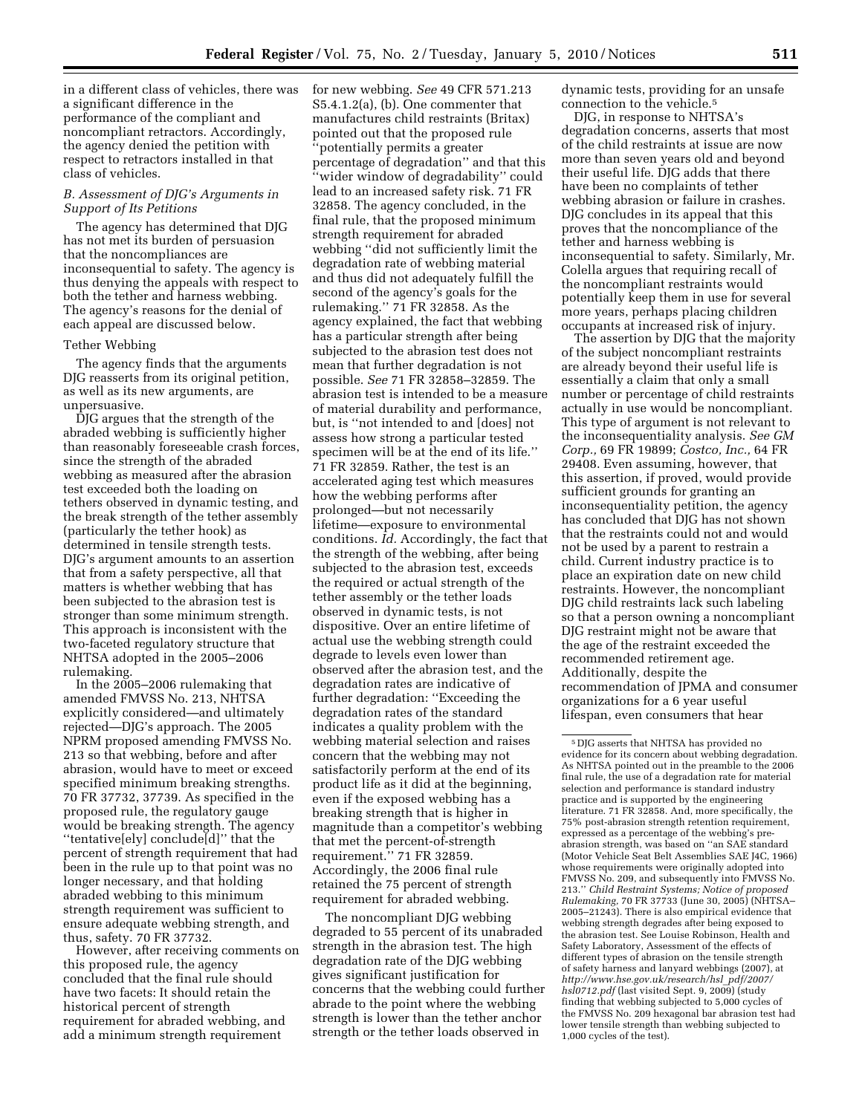in a different class of vehicles, there was a significant difference in the performance of the compliant and noncompliant retractors. Accordingly, the agency denied the petition with respect to retractors installed in that class of vehicles.

## *B. Assessment of DJG's Arguments in Support of Its Petitions*

The agency has determined that DJG has not met its burden of persuasion that the noncompliances are inconsequential to safety. The agency is thus denying the appeals with respect to both the tether and harness webbing. The agency's reasons for the denial of each appeal are discussed below.

### Tether Webbing

The agency finds that the arguments DJG reasserts from its original petition, as well as its new arguments, are unpersuasive.

DJG argues that the strength of the abraded webbing is sufficiently higher than reasonably foreseeable crash forces, since the strength of the abraded webbing as measured after the abrasion test exceeded both the loading on tethers observed in dynamic testing, and the break strength of the tether assembly (particularly the tether hook) as determined in tensile strength tests. DJG's argument amounts to an assertion that from a safety perspective, all that matters is whether webbing that has been subjected to the abrasion test is stronger than some minimum strength. This approach is inconsistent with the two-faceted regulatory structure that NHTSA adopted in the 2005–2006 rulemaking.

In the 2005–2006 rulemaking that amended FMVSS No. 213, NHTSA explicitly considered—and ultimately rejected—DJG's approach. The 2005 NPRM proposed amending FMVSS No. 213 so that webbing, before and after abrasion, would have to meet or exceed specified minimum breaking strengths. 70 FR 37732, 37739. As specified in the proposed rule, the regulatory gauge would be breaking strength. The agency ''tentative[ely] conclude[d]'' that the percent of strength requirement that had been in the rule up to that point was no longer necessary, and that holding abraded webbing to this minimum strength requirement was sufficient to ensure adequate webbing strength, and thus, safety. 70 FR 37732.

However, after receiving comments on this proposed rule, the agency concluded that the final rule should have two facets: It should retain the historical percent of strength requirement for abraded webbing, and add a minimum strength requirement

for new webbing. *See* 49 CFR 571.213 S5.4.1.2(a), (b). One commenter that manufactures child restraints (Britax) pointed out that the proposed rule potentially permits a greater percentage of degradation'' and that this ''wider window of degradability'' could lead to an increased safety risk. 71 FR 32858. The agency concluded, in the final rule, that the proposed minimum strength requirement for abraded webbing ''did not sufficiently limit the degradation rate of webbing material and thus did not adequately fulfill the second of the agency's goals for the rulemaking.'' 71 FR 32858. As the agency explained, the fact that webbing has a particular strength after being subjected to the abrasion test does not mean that further degradation is not possible. *See* 71 FR 32858–32859. The abrasion test is intended to be a measure of material durability and performance, but, is ''not intended to and [does] not assess how strong a particular tested specimen will be at the end of its life.'' 71 FR 32859. Rather, the test is an accelerated aging test which measures how the webbing performs after prolonged—but not necessarily lifetime—exposure to environmental conditions. *Id.* Accordingly, the fact that the strength of the webbing, after being subjected to the abrasion test, exceeds the required or actual strength of the tether assembly or the tether loads observed in dynamic tests, is not dispositive. Over an entire lifetime of actual use the webbing strength could degrade to levels even lower than observed after the abrasion test, and the degradation rates are indicative of further degradation: ''Exceeding the degradation rates of the standard indicates a quality problem with the webbing material selection and raises concern that the webbing may not satisfactorily perform at the end of its product life as it did at the beginning, even if the exposed webbing has a breaking strength that is higher in magnitude than a competitor's webbing that met the percent-of-strength requirement.'' 71 FR 32859. Accordingly, the 2006 final rule retained the 75 percent of strength requirement for abraded webbing.

The noncompliant DJG webbing degraded to 55 percent of its unabraded strength in the abrasion test. The high degradation rate of the DJG webbing gives significant justification for concerns that the webbing could further abrade to the point where the webbing strength is lower than the tether anchor strength or the tether loads observed in

dynamic tests, providing for an unsafe connection to the vehicle.5

DJG, in response to NHTSA's degradation concerns, asserts that most of the child restraints at issue are now more than seven years old and beyond their useful life. DJG adds that there have been no complaints of tether webbing abrasion or failure in crashes. DJG concludes in its appeal that this proves that the noncompliance of the tether and harness webbing is inconsequential to safety. Similarly, Mr. Colella argues that requiring recall of the noncompliant restraints would potentially keep them in use for several more years, perhaps placing children occupants at increased risk of injury.

The assertion by DJG that the majority of the subject noncompliant restraints are already beyond their useful life is essentially a claim that only a small number or percentage of child restraints actually in use would be noncompliant. This type of argument is not relevant to the inconsequentiality analysis. *See GM Corp.,* 69 FR 19899; *Costco, Inc.,* 64 FR 29408. Even assuming, however, that this assertion, if proved, would provide sufficient grounds for granting an inconsequentiality petition, the agency has concluded that DJG has not shown that the restraints could not and would not be used by a parent to restrain a child. Current industry practice is to place an expiration date on new child restraints. However, the noncompliant DJG child restraints lack such labeling so that a person owning a noncompliant DJG restraint might not be aware that the age of the restraint exceeded the recommended retirement age. Additionally, despite the recommendation of JPMA and consumer organizations for a 6 year useful lifespan, even consumers that hear

<sup>5</sup> DJG asserts that NHTSA has provided no evidence for its concern about webbing degradation. As NHTSA pointed out in the preamble to the 2006 final rule, the use of a degradation rate for material selection and performance is standard industry practice and is supported by the engineering literature. 71 FR 32858. And, more specifically, the 75% post-abrasion strength retention requirement, expressed as a percentage of the webbing's preabrasion strength, was based on ''an SAE standard (Motor Vehicle Seat Belt Assemblies SAE J4C, 1966) whose requirements were originally adopted into FMVSS No. 209, and subsequently into FMVSS No. 213.'' *Child Restraint Systems; Notice of proposed Rulemaking,* 70 FR 37733 (June 30, 2005) (NHTSA– 2005–21243). There is also empirical evidence that webbing strength degrades after being exposed to the abrasion test. See Louise Robinson, Health and Safety Laboratory, Assessment of the effects of different types of abrasion on the tensile strength of safety harness and lanyard webbings (2007), at *http://www.hse.gov.uk/research/hsl*\_*pdf/2007/ hsl0712.pdf* (last visited Sept. 9, 2009) (study finding that webbing subjected to 5,000 cycles of the FMVSS No. 209 hexagonal bar abrasion test had lower tensile strength than webbing subjected to 1,000 cycles of the test).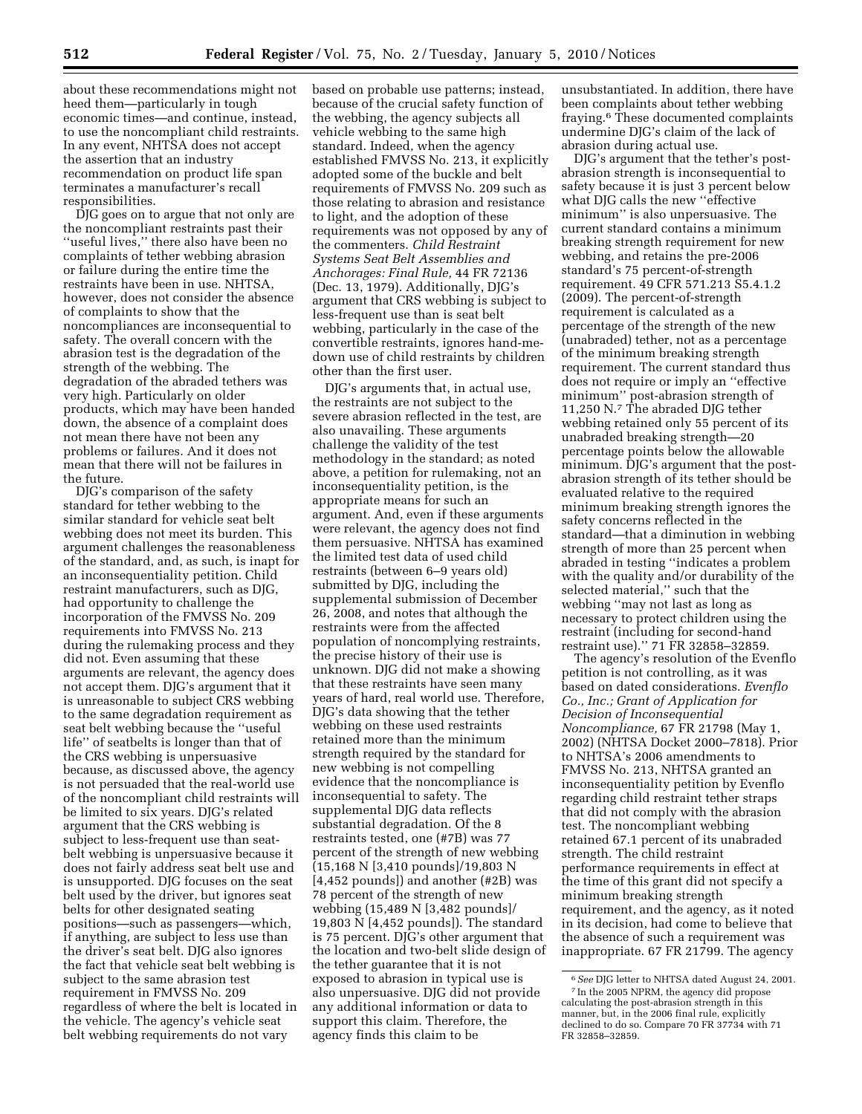about these recommendations might not heed them—particularly in tough economic times—and continue, instead, to use the noncompliant child restraints. In any event, NHTSA does not accept the assertion that an industry recommendation on product life span terminates a manufacturer's recall responsibilities.

DJG goes on to argue that not only are the noncompliant restraints past their ''useful lives,'' there also have been no complaints of tether webbing abrasion or failure during the entire time the restraints have been in use. NHTSA, however, does not consider the absence of complaints to show that the noncompliances are inconsequential to safety. The overall concern with the abrasion test is the degradation of the strength of the webbing. The degradation of the abraded tethers was very high. Particularly on older products, which may have been handed down, the absence of a complaint does not mean there have not been any problems or failures. And it does not mean that there will not be failures in the future.

DJG's comparison of the safety standard for tether webbing to the similar standard for vehicle seat belt webbing does not meet its burden. This argument challenges the reasonableness of the standard, and, as such, is inapt for an inconsequentiality petition. Child restraint manufacturers, such as DJG, had opportunity to challenge the incorporation of the FMVSS No. 209 requirements into FMVSS No. 213 during the rulemaking process and they did not. Even assuming that these arguments are relevant, the agency does not accept them. DJG's argument that it is unreasonable to subject CRS webbing to the same degradation requirement as seat belt webbing because the ''useful life'' of seatbelts is longer than that of the CRS webbing is unpersuasive because, as discussed above, the agency is not persuaded that the real-world use of the noncompliant child restraints will be limited to six years. DJG's related argument that the CRS webbing is subject to less-frequent use than seatbelt webbing is unpersuasive because it does not fairly address seat belt use and is unsupported. DJG focuses on the seat belt used by the driver, but ignores seat belts for other designated seating positions—such as passengers—which, if anything, are subject to less use than the driver's seat belt. DJG also ignores the fact that vehicle seat belt webbing is subject to the same abrasion test requirement in FMVSS No. 209 regardless of where the belt is located in the vehicle. The agency's vehicle seat belt webbing requirements do not vary

based on probable use patterns; instead, because of the crucial safety function of the webbing, the agency subjects all vehicle webbing to the same high standard. Indeed, when the agency established FMVSS No. 213, it explicitly adopted some of the buckle and belt requirements of FMVSS No. 209 such as those relating to abrasion and resistance to light, and the adoption of these requirements was not opposed by any of the commenters. *Child Restraint Systems Seat Belt Assemblies and Anchorages: Final Rule,* 44 FR 72136 (Dec. 13, 1979). Additionally, DJG's argument that CRS webbing is subject to less-frequent use than is seat belt webbing, particularly in the case of the convertible restraints, ignores hand-medown use of child restraints by children other than the first user.

DJG's arguments that, in actual use, the restraints are not subject to the severe abrasion reflected in the test, are also unavailing. These arguments challenge the validity of the test methodology in the standard; as noted above, a petition for rulemaking, not an inconsequentiality petition, is the appropriate means for such an argument. And, even if these arguments were relevant, the agency does not find them persuasive. NHTSA has examined the limited test data of used child restraints (between 6–9 years old) submitted by DJG, including the supplemental submission of December 26, 2008, and notes that although the restraints were from the affected population of noncomplying restraints, the precise history of their use is unknown. DJG did not make a showing that these restraints have seen many years of hard, real world use. Therefore, DJG's data showing that the tether webbing on these used restraints retained more than the minimum strength required by the standard for new webbing is not compelling evidence that the noncompliance is inconsequential to safety. The supplemental DJG data reflects substantial degradation. Of the 8 restraints tested, one (#7B) was 77 percent of the strength of new webbing (15,168 N [3,410 pounds]/19,803 N [4,452 pounds]) and another (#2B) was 78 percent of the strength of new webbing (15,489 N [3,482 pounds]/ 19,803 N [4,452 pounds]). The standard is 75 percent. DJG's other argument that the location and two-belt slide design of the tether guarantee that it is not exposed to abrasion in typical use is also unpersuasive. DJG did not provide any additional information or data to support this claim. Therefore, the agency finds this claim to be

unsubstantiated. In addition, there have been complaints about tether webbing fraying.6 These documented complaints undermine DJG's claim of the lack of abrasion during actual use.

DJG's argument that the tether's postabrasion strength is inconsequential to safety because it is just 3 percent below what DJG calls the new ''effective minimum'' is also unpersuasive. The current standard contains a minimum breaking strength requirement for new webbing, and retains the pre-2006 standard's 75 percent-of-strength requirement. 49 CFR 571.213 S5.4.1.2 (2009). The percent-of-strength requirement is calculated as a percentage of the strength of the new (unabraded) tether, not as a percentage of the minimum breaking strength requirement. The current standard thus does not require or imply an ''effective minimum'' post-abrasion strength of 11,250 N.7 The abraded DJG tether webbing retained only 55 percent of its unabraded breaking strength—20 percentage points below the allowable minimum. DJG's argument that the postabrasion strength of its tether should be evaluated relative to the required minimum breaking strength ignores the safety concerns reflected in the standard—that a diminution in webbing strength of more than 25 percent when abraded in testing ''indicates a problem with the quality and/or durability of the selected material,'' such that the webbing ''may not last as long as necessary to protect children using the restraint (including for second-hand restraint use).'' 71 FR 32858–32859.

The agency's resolution of the Evenflo petition is not controlling, as it was based on dated considerations. *Evenflo Co., Inc.; Grant of Application for Decision of Inconsequential Noncompliance,* 67 FR 21798 (May 1, 2002) (NHTSA Docket 2000–7818). Prior to NHTSA's 2006 amendments to FMVSS No. 213, NHTSA granted an inconsequentiality petition by Evenflo regarding child restraint tether straps that did not comply with the abrasion test. The noncompliant webbing retained 67.1 percent of its unabraded strength. The child restraint performance requirements in effect at the time of this grant did not specify a minimum breaking strength requirement, and the agency, as it noted in its decision, had come to believe that the absence of such a requirement was inappropriate. 67 FR 21799. The agency

<sup>6</sup>*See* DJG letter to NHTSA dated August 24, 2001. 7 In the 2005 NPRM, the agency did propose calculating the post-abrasion strength in this manner, but, in the 2006 final rule, explicitly declined to do so. Compare 70 FR 37734 with 71 FR 32858–32859.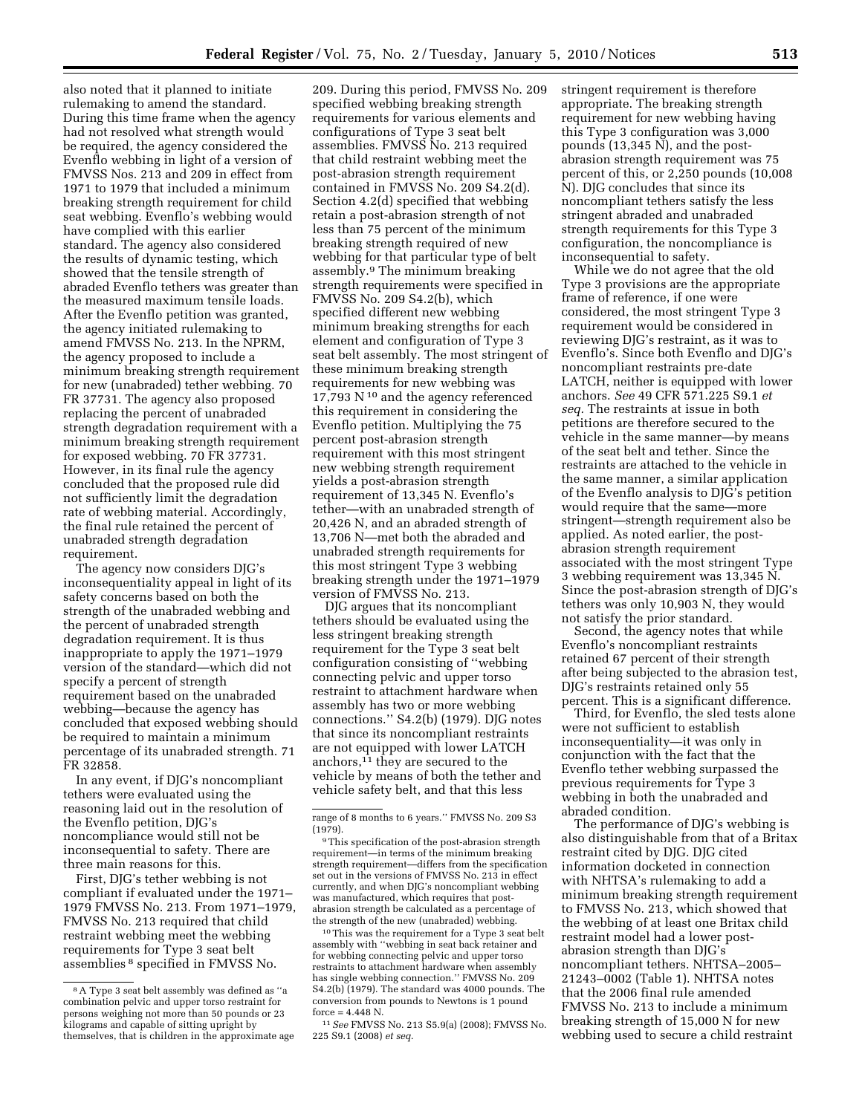also noted that it planned to initiate rulemaking to amend the standard. During this time frame when the agency had not resolved what strength would be required, the agency considered the Evenflo webbing in light of a version of FMVSS Nos. 213 and 209 in effect from 1971 to 1979 that included a minimum breaking strength requirement for child seat webbing. Evenflo's webbing would have complied with this earlier standard. The agency also considered the results of dynamic testing, which showed that the tensile strength of abraded Evenflo tethers was greater than the measured maximum tensile loads. After the Evenflo petition was granted, the agency initiated rulemaking to amend FMVSS No. 213. In the NPRM, the agency proposed to include a minimum breaking strength requirement for new (unabraded) tether webbing. 70 FR 37731. The agency also proposed replacing the percent of unabraded strength degradation requirement with a minimum breaking strength requirement for exposed webbing. 70 FR 37731. However, in its final rule the agency concluded that the proposed rule did not sufficiently limit the degradation rate of webbing material. Accordingly, the final rule retained the percent of unabraded strength degradation requirement.

The agency now considers DJG's inconsequentiality appeal in light of its safety concerns based on both the strength of the unabraded webbing and the percent of unabraded strength degradation requirement. It is thus inappropriate to apply the 1971–1979 version of the standard—which did not specify a percent of strength requirement based on the unabraded webbing—because the agency has concluded that exposed webbing should be required to maintain a minimum percentage of its unabraded strength. 71 FR 32858.

In any event, if DJG's noncompliant tethers were evaluated using the reasoning laid out in the resolution of the Evenflo petition, DJG's noncompliance would still not be inconsequential to safety. There are three main reasons for this.

First, DJG's tether webbing is not compliant if evaluated under the 1971– 1979 FMVSS No. 213. From 1971–1979, FMVSS No. 213 required that child restraint webbing meet the webbing requirements for Type 3 seat belt assemblies 8 specified in FMVSS No.

209. During this period, FMVSS No. 209 specified webbing breaking strength requirements for various elements and configurations of Type 3 seat belt assemblies. FMVSS No. 213 required that child restraint webbing meet the post-abrasion strength requirement contained in FMVSS No. 209 S4.2(d). Section 4.2(d) specified that webbing retain a post-abrasion strength of not less than 75 percent of the minimum breaking strength required of new webbing for that particular type of belt assembly.9 The minimum breaking strength requirements were specified in FMVSS No. 209 S4.2(b), which specified different new webbing minimum breaking strengths for each element and configuration of Type 3 seat belt assembly. The most stringent of these minimum breaking strength requirements for new webbing was 17,793 N 10 and the agency referenced this requirement in considering the Evenflo petition. Multiplying the 75 percent post-abrasion strength requirement with this most stringent new webbing strength requirement yields a post-abrasion strength requirement of 13,345 N. Evenflo's tether—with an unabraded strength of 20,426 N, and an abraded strength of 13,706 N—met both the abraded and unabraded strength requirements for this most stringent Type 3 webbing breaking strength under the 1971–1979 version of FMVSS No. 213.

DJG argues that its noncompliant tethers should be evaluated using the less stringent breaking strength requirement for the Type 3 seat belt configuration consisting of ''webbing connecting pelvic and upper torso restraint to attachment hardware when assembly has two or more webbing connections.'' S4.2(b) (1979). DJG notes that since its noncompliant restraints are not equipped with lower LATCH anchors,11 they are secured to the vehicle by means of both the tether and vehicle safety belt, and that this less

 $^{10}\mathrm{This}$  was the requirement for a Type 3 seat belt assembly with ''webbing in seat back retainer and for webbing connecting pelvic and upper torso restraints to attachment hardware when assembly has single webbing connection.'' FMVSS No. 209 S4.2(b) (1979). The standard was 4000 pounds. The conversion from pounds to Newtons is 1 pound  $force = 4.448$  N.

11*See* FMVSS No. 213 S5.9(a) (2008); FMVSS No. 225 S9.1 (2008) *et seq.* 

stringent requirement is therefore appropriate. The breaking strength requirement for new webbing having this Type 3 configuration was 3,000 pounds (13,345 N), and the postabrasion strength requirement was 75 percent of this, or 2,250 pounds (10,008 N). DJG concludes that since its noncompliant tethers satisfy the less stringent abraded and unabraded strength requirements for this Type 3 configuration, the noncompliance is inconsequential to safety.

While we do not agree that the old Type 3 provisions are the appropriate frame of reference, if one were considered, the most stringent Type 3 requirement would be considered in reviewing DJG's restraint, as it was to Evenflo's. Since both Evenflo and DJG's noncompliant restraints pre-date LATCH, neither is equipped with lower anchors. *See* 49 CFR 571.225 S9.1 *et seq.* The restraints at issue in both petitions are therefore secured to the vehicle in the same manner—by means of the seat belt and tether. Since the restraints are attached to the vehicle in the same manner, a similar application of the Evenflo analysis to DJG's petition would require that the same—more stringent—strength requirement also be applied. As noted earlier, the postabrasion strength requirement associated with the most stringent Type 3 webbing requirement was 13,345 N. Since the post-abrasion strength of DJG's tethers was only 10,903 N, they would not satisfy the prior standard.

Second, the agency notes that while Evenflo's noncompliant restraints retained 67 percent of their strength after being subjected to the abrasion test, DJG's restraints retained only 55 percent. This is a significant difference.

Third, for Evenflo, the sled tests alone were not sufficient to establish inconsequentiality—it was only in conjunction with the fact that the Evenflo tether webbing surpassed the previous requirements for Type 3 webbing in both the unabraded and abraded condition.

The performance of DJG's webbing is also distinguishable from that of a Britax restraint cited by DJG. DJG cited information docketed in connection with NHTSA's rulemaking to add a minimum breaking strength requirement to FMVSS No. 213, which showed that the webbing of at least one Britax child restraint model had a lower postabrasion strength than DJG's noncompliant tethers. NHTSA–2005– 21243–0002 (Table 1). NHTSA notes that the 2006 final rule amended FMVSS No. 213 to include a minimum breaking strength of 15,000 N for new webbing used to secure a child restraint

<sup>8</sup>A Type 3 seat belt assembly was defined as ''a combination pelvic and upper torso restraint for persons weighing not more than 50 pounds or 23 kilograms and capable of sitting upright by themselves, that is children in the approximate age

range of 8 months to 6 years.'' FMVSS No. 209 S3  $(1979)$ .

<sup>9</sup>This specification of the post-abrasion strength requirement—in terms of the minimum breaking strength requirement—differs from the specification set out in the versions of FMVSS No. 213 in effect currently, and when DJG's noncompliant webbing was manufactured, which requires that postabrasion strength be calculated as a percentage of the strength of the new (unabraded) webbing.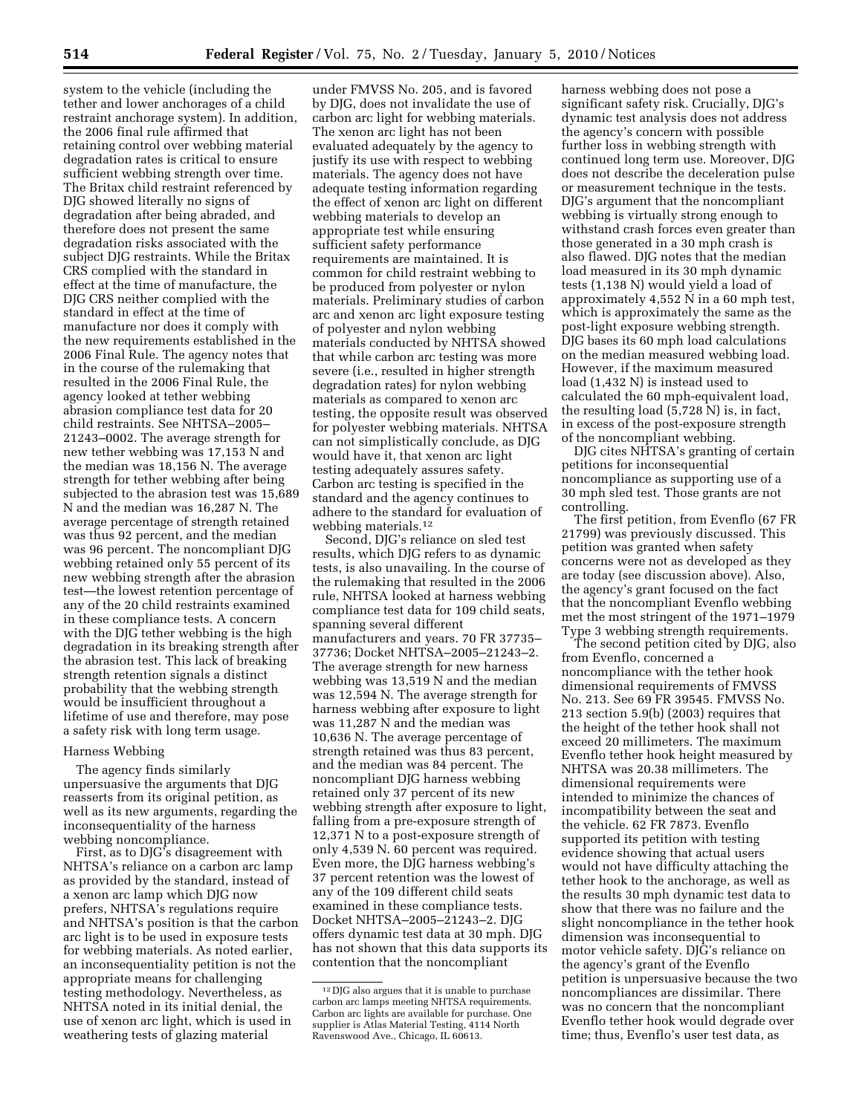system to the vehicle (including the tether and lower anchorages of a child restraint anchorage system). In addition, the 2006 final rule affirmed that retaining control over webbing material degradation rates is critical to ensure sufficient webbing strength over time. The Britax child restraint referenced by DJG showed literally no signs of degradation after being abraded, and therefore does not present the same degradation risks associated with the subject DJG restraints. While the Britax CRS complied with the standard in effect at the time of manufacture, the DJG CRS neither complied with the standard in effect at the time of manufacture nor does it comply with the new requirements established in the 2006 Final Rule. The agency notes that in the course of the rulemaking that resulted in the 2006 Final Rule, the agency looked at tether webbing abrasion compliance test data for 20 child restraints. See NHTSA–2005– 21243–0002. The average strength for new tether webbing was 17,153 N and the median was 18,156 N. The average strength for tether webbing after being subjected to the abrasion test was 15,689 N and the median was 16,287 N. The average percentage of strength retained was thus 92 percent, and the median was 96 percent. The noncompliant DJG webbing retained only 55 percent of its new webbing strength after the abrasion test—the lowest retention percentage of any of the 20 child restraints examined in these compliance tests. A concern with the DJG tether webbing is the high degradation in its breaking strength after the abrasion test. This lack of breaking strength retention signals a distinct probability that the webbing strength would be insufficient throughout a lifetime of use and therefore, may pose a safety risk with long term usage.

### Harness Webbing

The agency finds similarly unpersuasive the arguments that DJG reasserts from its original petition, as well as its new arguments, regarding the inconsequentiality of the harness webbing noncompliance.

First, as to DJG's disagreement with NHTSA's reliance on a carbon arc lamp as provided by the standard, instead of a xenon arc lamp which DJG now prefers, NHTSA's regulations require and NHTSA's position is that the carbon arc light is to be used in exposure tests for webbing materials. As noted earlier, an inconsequentiality petition is not the appropriate means for challenging testing methodology. Nevertheless, as NHTSA noted in its initial denial, the use of xenon arc light, which is used in weathering tests of glazing material

under FMVSS No. 205, and is favored by DJG, does not invalidate the use of carbon arc light for webbing materials. The xenon arc light has not been evaluated adequately by the agency to justify its use with respect to webbing materials. The agency does not have adequate testing information regarding the effect of xenon arc light on different webbing materials to develop an appropriate test while ensuring sufficient safety performance requirements are maintained. It is common for child restraint webbing to be produced from polyester or nylon materials. Preliminary studies of carbon arc and xenon arc light exposure testing of polyester and nylon webbing materials conducted by NHTSA showed that while carbon arc testing was more severe (i.e., resulted in higher strength degradation rates) for nylon webbing materials as compared to xenon arc testing, the opposite result was observed for polyester webbing materials. NHTSA can not simplistically conclude, as DJG would have it, that xenon arc light testing adequately assures safety. Carbon arc testing is specified in the standard and the agency continues to adhere to the standard for evaluation of webbing materials.12

Second, DJG's reliance on sled test results, which DJG refers to as dynamic tests, is also unavailing. In the course of the rulemaking that resulted in the 2006 rule, NHTSA looked at harness webbing compliance test data for 109 child seats, spanning several different manufacturers and years. 70 FR 37735– 37736; Docket NHTSA–2005–21243–2. The average strength for new harness webbing was 13,519 N and the median was 12,594 N. The average strength for harness webbing after exposure to light was 11,287 N and the median was 10,636 N. The average percentage of strength retained was thus 83 percent, and the median was 84 percent. The noncompliant DJG harness webbing retained only 37 percent of its new webbing strength after exposure to light, falling from a pre-exposure strength of 12,371 N to a post-exposure strength of only 4,539 N. 60 percent was required. Even more, the DJG harness webbing's 37 percent retention was the lowest of any of the 109 different child seats examined in these compliance tests. Docket NHTSA–2005–21243–2. DJG offers dynamic test data at 30 mph. DJG has not shown that this data supports its contention that the noncompliant

harness webbing does not pose a significant safety risk. Crucially, DJG's dynamic test analysis does not address the agency's concern with possible further loss in webbing strength with continued long term use. Moreover, DJG does not describe the deceleration pulse or measurement technique in the tests. DJG's argument that the noncompliant webbing is virtually strong enough to withstand crash forces even greater than those generated in a 30 mph crash is also flawed. DJG notes that the median load measured in its 30 mph dynamic tests (1,138 N) would yield a load of approximately 4,552 N in a 60 mph test, which is approximately the same as the post-light exposure webbing strength. DJG bases its 60 mph load calculations on the median measured webbing load. However, if the maximum measured load (1,432 N) is instead used to calculated the 60 mph-equivalent load, the resulting load (5,728 N) is, in fact, in excess of the post-exposure strength of the noncompliant webbing.

DJG cites NHTSA's granting of certain petitions for inconsequential noncompliance as supporting use of a 30 mph sled test. Those grants are not controlling.

The first petition, from Evenflo (67 FR 21799) was previously discussed. This petition was granted when safety concerns were not as developed as they are today (see discussion above). Also, the agency's grant focused on the fact that the noncompliant Evenflo webbing met the most stringent of the 1971–1979 Type 3 webbing strength requirements.

The second petition cited by DJG, also from Evenflo, concerned a noncompliance with the tether hook dimensional requirements of FMVSS No. 213. See 69 FR 39545. FMVSS No. 213 section 5.9(b) (2003) requires that the height of the tether hook shall not exceed 20 millimeters. The maximum Evenflo tether hook height measured by NHTSA was 20.38 millimeters. The dimensional requirements were intended to minimize the chances of incompatibility between the seat and the vehicle. 62 FR 7873. Evenflo supported its petition with testing evidence showing that actual users would not have difficulty attaching the tether hook to the anchorage, as well as the results 30 mph dynamic test data to show that there was no failure and the slight noncompliance in the tether hook dimension was inconsequential to motor vehicle safety. DJG's reliance on the agency's grant of the Evenflo petition is unpersuasive because the two noncompliances are dissimilar. There was no concern that the noncompliant Evenflo tether hook would degrade over time; thus, Evenflo's user test data, as

<sup>12</sup> DJG also argues that it is unable to purchase carbon arc lamps meeting NHTSA requirements. Carbon arc lights are available for purchase. One supplier is Atlas Material Testing, 4114 North Ravenswood Ave., Chicago, IL 60613.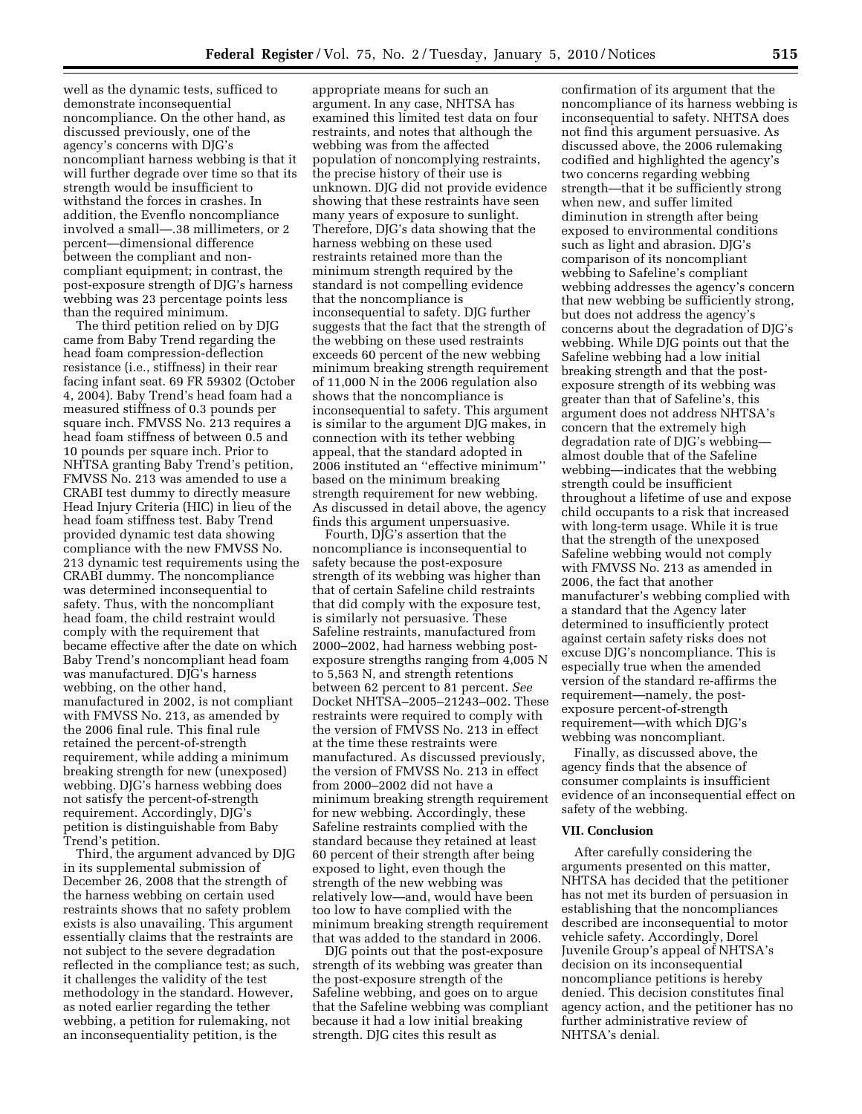well as the dynamic tests, sufficed to demonstrate inconsequential noncompliance. On the other hand, as discussed previously, one of the agency's concerns with DJG's noncompliant harness webbing is that it will further degrade over time so that its strength would be insufficient to withstand the forces in crashes. In addition, the Evenflo noncompliance involved a small—.38 millimeters, or 2 percent—dimensional difference between the compliant and noncompliant equipment; in contrast, the post-exposure strength of DJG's harness webbing was 23 percentage points less than the required minimum.

The third petition relied on by DJG came from Baby Trend regarding the head foam compression-deflection resistance (i.e., stiffness) in their rear facing infant seat. 69 FR 59302 (October 4, 2004). Baby Trend's head foam had a measured stiffness of 0.3 pounds per square inch. FMVSS No. 213 requires a head foam stiffness of between 0.5 and 10 pounds per square inch. Prior to NHTSA granting Baby Trend's petition, FMVSS No. 213 was amended to use a CRABI test dummy to directly measure Head Injury Criteria (HIC) in lieu of the head foam stiffness test. Baby Trend provided dynamic test data showing compliance with the new FMVSS No. 213 dynamic test requirements using the CRABI dummy. The noncompliance was determined inconsequential to safety. Thus, with the noncompliant head foam, the child restraint would comply with the requirement that became effective after the date on which Baby Trend's noncompliant head foam was manufactured. DJG's harness webbing, on the other hand, manufactured in 2002, is not compliant with FMVSS No. 213, as amended by the 2006 final rule. This final rule retained the percent-of-strength requirement, while adding a minimum breaking strength for new (unexposed) webbing. DJG's harness webbing does not satisfy the percent-of-strength requirement. Accordingly, DJG's petition is distinguishable from Baby Trend's petition.

Third, the argument advanced by DJG in its supplemental submission of December 26, 2008 that the strength of the harness webbing on certain used restraints shows that no safety problem exists is also unavailing. This argument essentially claims that the restraints are not subject to the severe degradation reflected in the compliance test; as such, it challenges the validity of the test methodology in the standard. However, as noted earlier regarding the tether webbing, a petition for rulemaking, not an inconsequentiality petition, is the

appropriate means for such an argument. In any case, NHTSA has examined this limited test data on four restraints, and notes that although the webbing was from the affected population of noncomplying restraints, the precise history of their use is unknown. DJG did not provide evidence showing that these restraints have seen many years of exposure to sunlight. Therefore, DJG's data showing that the harness webbing on these used restraints retained more than the minimum strength required by the standard is not compelling evidence that the noncompliance is inconsequential to safety. DJG further suggests that the fact that the strength of the webbing on these used restraints exceeds 60 percent of the new webbing minimum breaking strength requirement of 11,000 N in the 2006 regulation also shows that the noncompliance is inconsequential to safety. This argument is similar to the argument DJG makes, in connection with its tether webbing appeal, that the standard adopted in 2006 instituted an ''effective minimum'' based on the minimum breaking strength requirement for new webbing. As discussed in detail above, the agency finds this argument unpersuasive.

Fourth, DJG's assertion that the noncompliance is inconsequential to safety because the post-exposure strength of its webbing was higher than that of certain Safeline child restraints that did comply with the exposure test, is similarly not persuasive. These Safeline restraints, manufactured from 2000–2002, had harness webbing postexposure strengths ranging from 4,005 N to 5,563 N, and strength retentions between 62 percent to 81 percent. *See*  Docket NHTSA–2005–21243–002. These restraints were required to comply with the version of FMVSS No. 213 in effect at the time these restraints were manufactured. As discussed previously, the version of FMVSS No. 213 in effect from 2000–2002 did not have a minimum breaking strength requirement for new webbing. Accordingly, these Safeline restraints complied with the standard because they retained at least 60 percent of their strength after being exposed to light, even though the strength of the new webbing was relatively low—and, would have been too low to have complied with the minimum breaking strength requirement that was added to the standard in 2006.

DJG points out that the post-exposure strength of its webbing was greater than the post-exposure strength of the Safeline webbing, and goes on to argue that the Safeline webbing was compliant because it had a low initial breaking strength. DJG cites this result as

confirmation of its argument that the noncompliance of its harness webbing is inconsequential to safety. NHTSA does not find this argument persuasive. As discussed above, the 2006 rulemaking codified and highlighted the agency's two concerns regarding webbing strength—that it be sufficiently strong when new, and suffer limited diminution in strength after being exposed to environmental conditions such as light and abrasion. DJG's comparison of its noncompliant webbing to Safeline's compliant webbing addresses the agency's concern that new webbing be sufficiently strong, but does not address the agency's concerns about the degradation of DJG's webbing. While DJG points out that the Safeline webbing had a low initial breaking strength and that the postexposure strength of its webbing was greater than that of Safeline's, this argument does not address NHTSA's concern that the extremely high degradation rate of DJG's webbing almost double that of the Safeline webbing—indicates that the webbing strength could be insufficient throughout a lifetime of use and expose child occupants to a risk that increased with long-term usage. While it is true that the strength of the unexposed Safeline webbing would not comply with FMVSS No. 213 as amended in 2006, the fact that another manufacturer's webbing complied with a standard that the Agency later determined to insufficiently protect against certain safety risks does not excuse DJG's noncompliance. This is especially true when the amended version of the standard re-affirms the requirement—namely, the postexposure percent-of-strength requirement—with which DJG's webbing was noncompliant.

Finally, as discussed above, the agency finds that the absence of consumer complaints is insufficient evidence of an inconsequential effect on safety of the webbing.

#### **VII. Conclusion**

After carefully considering the arguments presented on this matter, NHTSA has decided that the petitioner has not met its burden of persuasion in establishing that the noncompliances described are inconsequential to motor vehicle safety. Accordingly, Dorel Juvenile Group's appeal of NHTSA's decision on its inconsequential noncompliance petitions is hereby denied. This decision constitutes final agency action, and the petitioner has no further administrative review of NHTSA's denial.